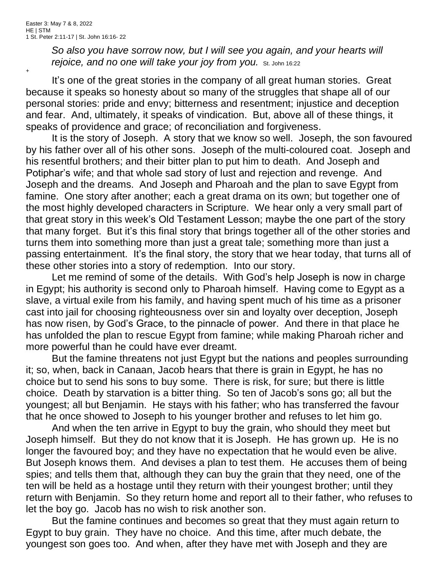+

*So also you have sorrow now, but I will see you again, and your hearts will*  rejoice, and no one will take your joy from you. St. John 16:22

It's one of the great stories in the company of all great human stories. Great because it speaks so honesty about so many of the struggles that shape all of our personal stories: pride and envy; bitterness and resentment; injustice and deception and fear. And, ultimately, it speaks of vindication. But, above all of these things, it speaks of providence and grace; of reconciliation and forgiveness.

It is the story of Joseph. A story that we know so well. Joseph, the son favoured by his father over all of his other sons. Joseph of the multi-coloured coat. Joseph and his resentful brothers; and their bitter plan to put him to death. And Joseph and Potiphar's wife; and that whole sad story of lust and rejection and revenge. And Joseph and the dreams. And Joseph and Pharoah and the plan to save Egypt from famine. One story after another; each a great drama on its own; but together one of the most highly developed characters in Scripture. We hear only a very small part of that great story in this week's Old Testament Lesson; maybe the one part of the story that many forget. But it's this final story that brings together all of the other stories and turns them into something more than just a great tale; something more than just a passing entertainment. It's the final story, the story that we hear today, that turns all of these other stories into a story of redemption. Into our story.

Let me remind of some of the details. With God's help Joseph is now in charge in Egypt; his authority is second only to Pharoah himself. Having come to Egypt as a slave, a virtual exile from his family, and having spent much of his time as a prisoner cast into jail for choosing righteousness over sin and loyalty over deception, Joseph has now risen, by God's Grace, to the pinnacle of power. And there in that place he has unfolded the plan to rescue Egypt from famine; while making Pharoah richer and more powerful than he could have ever dreamt.

But the famine threatens not just Egypt but the nations and peoples surrounding it; so, when, back in Canaan, Jacob hears that there is grain in Egypt, he has no choice but to send his sons to buy some. There is risk, for sure; but there is little choice. Death by starvation is a bitter thing. So ten of Jacob's sons go; all but the youngest; all but Benjamin. He stays with his father; who has transferred the favour that he once showed to Joseph to his younger brother and refuses to let him go.

And when the ten arrive in Egypt to buy the grain, who should they meet but Joseph himself. But they do not know that it is Joseph. He has grown up. He is no longer the favoured boy; and they have no expectation that he would even be alive. But Joseph knows them. And devises a plan to test them. He accuses them of being spies; and tells them that, although they can buy the grain that they need, one of the ten will be held as a hostage until they return with their youngest brother; until they return with Benjamin. So they return home and report all to their father, who refuses to let the boy go. Jacob has no wish to risk another son.

But the famine continues and becomes so great that they must again return to Egypt to buy grain. They have no choice. And this time, after much debate, the youngest son goes too. And when, after they have met with Joseph and they are